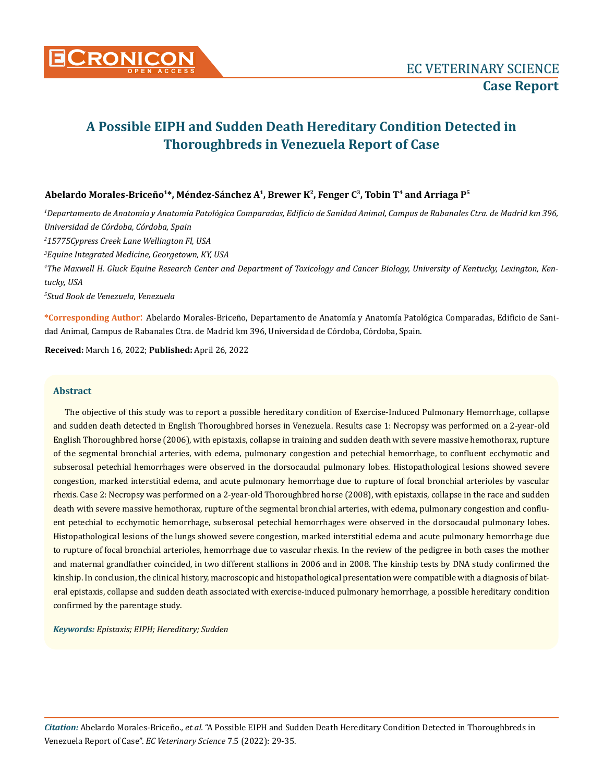

# Abelardo Morales-Briceño<sup>1\*</sup>, Méndez-Sánchez A<sup>1</sup>, Brewer K<sup>2</sup>, Fenger C<sup>3</sup>, Tobin T<sup>4</sup> and Arriaga P<sup>5</sup>

 *Departamento de Anatomía y Anatomía Patológica Comparadas, Edificio de Sanidad Animal, Campus de Rabanales Ctra. de Madrid km 396, Universidad de Córdoba, Córdoba, Spain 15775Cypress Creek Lane Wellington Fl, USA Equine Integrated Medicine, Georgetown, KY, USA The Maxwell H. Gluck Equine Research Center and Department of Toxicology and Cancer Biology, University of Kentucky, Lexington, Kentucky, USA Stud Book de Venezuela, Venezuela*

**\*Corresponding Author**: Abelardo Morales-Briceño, Departamento de Anatomía y Anatomía Patológica Comparadas, Edificio de Sanidad Animal, Campus de Rabanales Ctra. de Madrid km 396, Universidad de Córdoba, Córdoba, Spain.

**Received:** March 16, 2022; **Published:** April 26, 2022

#### **Abstract**

The objective of this study was to report a possible hereditary condition of Exercise-Induced Pulmonary Hemorrhage, collapse and sudden death detected in English Thoroughbred horses in Venezuela. Results case 1: Necropsy was performed on a 2-year-old English Thoroughbred horse (2006), with epistaxis, collapse in training and sudden death with severe massive hemothorax, rupture of the segmental bronchial arteries, with edema, pulmonary congestion and petechial hemorrhage, to confluent ecchymotic and subserosal petechial hemorrhages were observed in the dorsocaudal pulmonary lobes. Histopathological lesions showed severe congestion, marked interstitial edema, and acute pulmonary hemorrhage due to rupture of focal bronchial arterioles by vascular rhexis. Case 2: Necropsy was performed on a 2-year-old Thoroughbred horse (2008), with epistaxis, collapse in the race and sudden death with severe massive hemothorax, rupture of the segmental bronchial arteries, with edema, pulmonary congestion and confluent petechial to ecchymotic hemorrhage, subserosal petechial hemorrhages were observed in the dorsocaudal pulmonary lobes. Histopathological lesions of the lungs showed severe congestion, marked interstitial edema and acute pulmonary hemorrhage due to rupture of focal bronchial arterioles, hemorrhage due to vascular rhexis. In the review of the pedigree in both cases the mother and maternal grandfather coincided, in two different stallions in 2006 and in 2008. The kinship tests by DNA study confirmed the kinship. In conclusion, the clinical history, macroscopic and histopathological presentation were compatible with a diagnosis of bilateral epistaxis, collapse and sudden death associated with exercise-induced pulmonary hemorrhage, a possible hereditary condition confirmed by the parentage study.

*Keywords: Epistaxis; EIPH; Hereditary; Sudden*

*Citation:* Abelardo Morales-Briceño*., et al.* "A Possible EIPH and Sudden Death Hereditary Condition Detected in Thoroughbreds in Venezuela Report of Case". *EC Veterinary Science* 7.5 (2022): 29-35.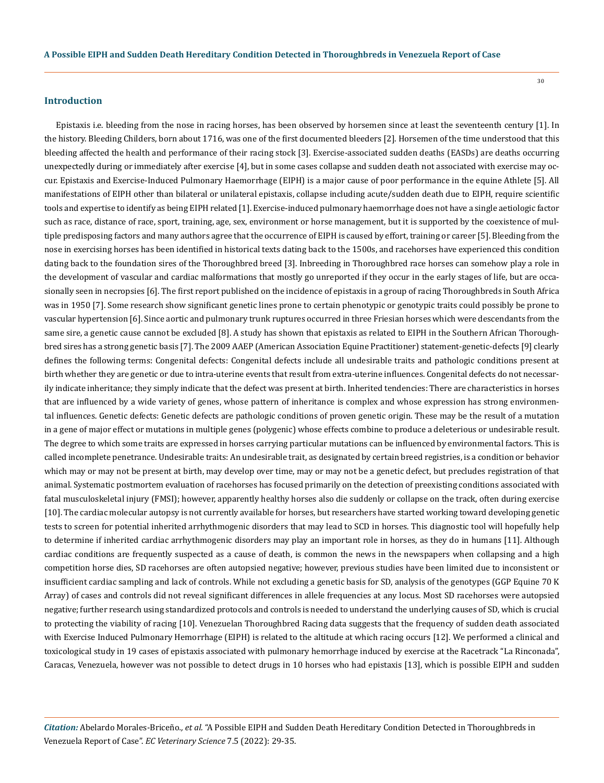#### **Introduction**

Epistaxis i.e. bleeding from the nose in racing horses, has been observed by horsemen since at least the seventeenth century [1]. In the history. Bleeding Childers, born about 1716, was one of the first documented bleeders [2]. Horsemen of the time understood that this bleeding affected the health and performance of their racing stock [3]. Exercise-associated sudden deaths (EASDs) are deaths occurring unexpectedly during or immediately after exercise [4], but in some cases collapse and sudden death not associated with exercise may occur. Epistaxis and Exercise-Induced Pulmonary Haemorrhage (EIPH) is a major cause of poor performance in the equine Athlete [5]. All manifestations of EIPH other than bilateral or unilateral epistaxis, collapse including acute/sudden death due to EIPH, require scientific tools and expertise to identify as being EIPH related [1]. Exercise-induced pulmonary haemorrhage does not have a single aetiologic factor such as race, distance of race, sport, training, age, sex, environment or horse management, but it is supported by the coexistence of multiple predisposing factors and many authors agree that the occurrence of EIPH is caused by effort, training or career [5]. Bleeding from the nose in exercising horses has been identified in historical texts dating back to the 1500s, and racehorses have experienced this condition dating back to the foundation sires of the Thoroughbred breed [3]. Inbreeding in Thoroughbred race horses can somehow play a role in the development of vascular and cardiac malformations that mostly go unreported if they occur in the early stages of life, but are occasionally seen in necropsies [6]. The first report published on the incidence of epistaxis in a group of racing Thoroughbreds in South Africa was in 1950 [7]. Some research show significant genetic lines prone to certain phenotypic or genotypic traits could possibly be prone to vascular hypertension [6]. Since aortic and pulmonary trunk ruptures occurred in three Friesian horses which were descendants from the same sire, a genetic cause cannot be excluded [8]. A study has shown that epistaxis as related to EIPH in the Southern African Thoroughbred sires has a strong genetic basis [7]. The 2009 AAEP (American Association Equine Practitioner) statement-genetic-defects [9] clearly defines the following terms: Congenital defects: Congenital defects include all undesirable traits and pathologic conditions present at birth whether they are genetic or due to intra-uterine events that result from extra-uterine influences. Congenital defects do not necessarily indicate inheritance; they simply indicate that the defect was present at birth. Inherited tendencies: There are characteristics in horses that are influenced by a wide variety of genes, whose pattern of inheritance is complex and whose expression has strong environmental influences. Genetic defects: Genetic defects are pathologic conditions of proven genetic origin. These may be the result of a mutation in a gene of major effect or mutations in multiple genes (polygenic) whose effects combine to produce a deleterious or undesirable result. The degree to which some traits are expressed in horses carrying particular mutations can be influenced by environmental factors. This is called incomplete penetrance. Undesirable traits: An undesirable trait, as designated by certain breed registries, is a condition or behavior which may or may not be present at birth, may develop over time, may or may not be a genetic defect, but precludes registration of that animal. Systematic postmortem evaluation of racehorses has focused primarily on the detection of preexisting conditions associated with fatal musculoskeletal injury (FMSI); however, apparently healthy horses also die suddenly or collapse on the track, often during exercise [10]. The cardiac molecular autopsy is not currently available for horses, but researchers have started working toward developing genetic tests to screen for potential inherited arrhythmogenic disorders that may lead to SCD in horses. This diagnostic tool will hopefully help to determine if inherited cardiac arrhythmogenic disorders may play an important role in horses, as they do in humans [11]. Although cardiac conditions are frequently suspected as a cause of death, is common the news in the newspapers when collapsing and a high competition horse dies, SD racehorses are often autopsied negative; however, previous studies have been limited due to inconsistent or insufficient cardiac sampling and lack of controls. While not excluding a genetic basis for SD, analysis of the genotypes (GGP Equine 70 K Array) of cases and controls did not reveal significant differences in allele frequencies at any locus. Most SD racehorses were autopsied negative; further research using standardized protocols and controls is needed to understand the underlying causes of SD, which is crucial to protecting the viability of racing [10]. Venezuelan Thoroughbred Racing data suggests that the frequency of sudden death associated with Exercise Induced Pulmonary Hemorrhage (EIPH) is related to the altitude at which racing occurs [12]. We performed a clinical and toxicological study in 19 cases of epistaxis associated with pulmonary hemorrhage induced by exercise at the Racetrack "La Rinconada", Caracas, Venezuela, however was not possible to detect drugs in 10 horses who had epistaxis [13], which is possible EIPH and sudden

*Citation:* Abelardo Morales-Briceño*., et al.* "A Possible EIPH and Sudden Death Hereditary Condition Detected in Thoroughbreds in Venezuela Report of Case". *EC Veterinary Science* 7.5 (2022): 29-35.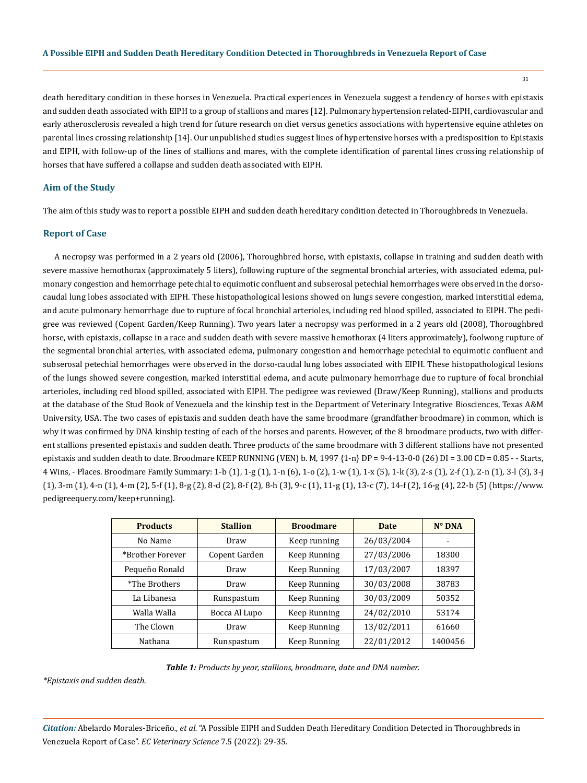31

death hereditary condition in these horses in Venezuela. Practical experiences in Venezuela suggest a tendency of horses with epistaxis and sudden death associated with EIPH to a group of stallions and mares [12]. Pulmonary hypertension related-EIPH, cardiovascular and early atherosclerosis revealed a high trend for future research on diet versus genetics associations with hypertensive equine athletes on parental lines crossing relationship [14]. Our unpublished studies suggest lines of hypertensive horses with a predisposition to Epistaxis and EIPH, with follow-up of the lines of stallions and mares, with the complete identification of parental lines crossing relationship of horses that have suffered a collapse and sudden death associated with EIPH.

### **Aim of the Study**

The aim of this study was to report a possible EIPH and sudden death hereditary condition detected in Thoroughbreds in Venezuela.

#### **Report of Case**

A necropsy was performed in a 2 years old (2006), Thoroughbred horse, with epistaxis, collapse in training and sudden death with severe massive hemothorax (approximately 5 liters), following rupture of the segmental bronchial arteries, with associated edema, pulmonary congestion and hemorrhage petechial to equimotic confluent and subserosal petechial hemorrhages were observed in the dorsocaudal lung lobes associated with EIPH. These histopathological lesions showed on lungs severe congestion, marked interstitial edema, and acute pulmonary hemorrhage due to rupture of focal bronchial arterioles, including red blood spilled, associated to EIPH. The pedigree was reviewed (Copent Garden/Keep Running). Two years later a necropsy was performed in a 2 years old (2008), Thoroughbred horse, with epistaxis, collapse in a race and sudden death with severe massive hemothorax (4 liters approximately), foolwong rupture of the segmental bronchial arteries, with associated edema, pulmonary congestion and hemorrhage petechial to equimotic confluent and subserosal petechial hemorrhages were observed in the dorso-caudal lung lobes associated with EIPH. These histopathological lesions of the lungs showed severe congestion, marked interstitial edema, and acute pulmonary hemorrhage due to rupture of focal bronchial arterioles, including red blood spilled, associated with EIPH. The pedigree was reviewed (Draw/Keep Running), stallions and products at the database of the Stud Book of Venezuela and the kinship test in the Department of Veterinary Integrative Biosciences, Texas A&M University, USA. The two cases of epistaxis and sudden death have the same broodmare (grandfather broodmare) in common, which is why it was confirmed by DNA kinship testing of each of the horses and parents. However, of the 8 broodmare products, two with different stallions presented epistaxis and sudden death. Three products of the same broodmare with 3 different stallions have not presented epistaxis and sudden death to date. Broodmare KEEP RUNNING (VEN) b. M, 1997  $\{1-n\}$  DP = 9-4-13-0-0 (26) DI = 3.00 CD = 0.85 - - Starts, 4 Wins, - Places. Broodmare Family Summary: 1-b (1), 1-g (1), 1-n (6), 1-o (2), 1-w (1), 1-x (5), 1-k (3), 2-s (1), 2-f (1), 2-n (1), 3-l (3), 3-j (1), 3-m (1), 4-n (1), 4-m (2), 5-f (1), 8-g (2), 8-d (2), 8-f (2), 8-h (3), 9-c (1), 11-g (1), 13-c (7), 14-f (2), 16-g (4), 22-b (5) (https://www. pedigreequery.com/keep+running).

| <b>Products</b>  | <b>Stallion</b> | <b>Broodmare</b> | <b>Date</b> | $N^{\circ}$ DNA |
|------------------|-----------------|------------------|-------------|-----------------|
| No Name          | Draw            | Keep running     | 26/03/2004  |                 |
| *Brother Forever | Copent Garden   | Keep Running     | 27/03/2006  | 18300           |
| Pequeño Ronald   | Draw            | Keep Running     | 17/03/2007  | 18397           |
| *The Brothers    | Draw            | Keep Running     | 30/03/2008  | 38783           |
| La Libanesa      | Runspastum      | Keep Running     | 30/03/2009  | 50352           |
| Walla Walla      | Bocca Al Lupo   | Keep Running     | 24/02/2010  | 53174           |
| The Clown        | Draw            | Keep Running     | 13/02/2011  | 61660           |
| Nathana          | Runspastum      | Keep Running     | 22/01/2012  | 1400456         |

*Table 1: Products by year, stallions, broodmare, date and DNA number.*

*\*Epistaxis and sudden death.*

*Citation:* Abelardo Morales-Briceño*., et al.* "A Possible EIPH and Sudden Death Hereditary Condition Detected in Thoroughbreds in Venezuela Report of Case". *EC Veterinary Science* 7.5 (2022): 29-35.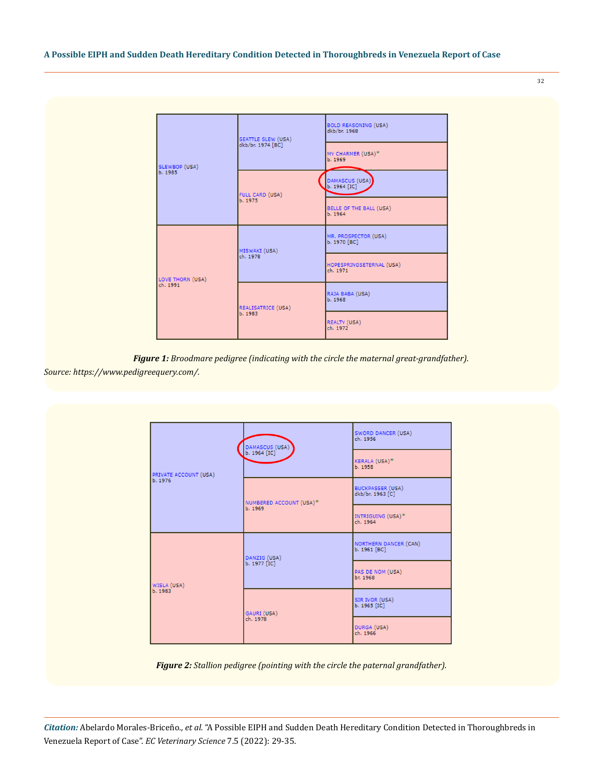BOLD REASONING (USA)<br>dkb/br. 1968 SEATTLE SLEW (USA)<br>dkb/br. 1974 [BC] MY CHARMER (USA)<sup>\*</sup><br>b. 1969 SLEWBOP (USA)<br>b. 1985 DAMASCUS (USA)<br>b. 1964 [IC] FULL CARD (USA)<br>b. 1975 BELLE OF THE BALL (USA)<br>b. 1964 MR. PROSPECTOR (USA)<br>b. 1970 [BC] MISWAKI (USA)<br>ch. 1978 HOPESPRINGSETERNAL (USA)<br>ch. 1971 LOVE THORN (USA)<br>ch. 1991 RAJA BABA (USA)<br>b. 1968 REALISATRICE (USA)<br>b. 1983 REALTY (USA)<br>ch. 1972

*Figure 1: Broodmare pedigree (indicating with the circle the maternal great-grandfather).*

*Source: https://www.pedigreequery.com/.*

|                       |                                | SWORD DANCER (USA)<br>ch. 1956               |  |
|-----------------------|--------------------------------|----------------------------------------------|--|
| PRIVATE ACCOUNT (USA) | DAMASCUS (USA)<br>b. 1964 [IC] | KERALA (USA)*<br>b. 1958                     |  |
| b. 1976               | NUMBERED ACCOUNT (USA)*        | <b>BUCKPASSER (USA)</b><br>dkb/br. 1963 [C]  |  |
|                       | b. 1969                        | INTRIGUING (USA)*<br>ch. 1964                |  |
|                       | DANZIG (USA)                   | <b>NORTHERN DANCER (CAN)</b><br>b. 1961 [BC] |  |
| WISLA (USA)           | b. 1977 [IC]                   | PAS DE NOM (USA)<br>br. 1968                 |  |
| b. 1983               | GAURI (USA)                    | SIR IVOR (USA)<br>b. 1965 [IC]               |  |
|                       | ch. 1978                       | DURGA (USA)<br>ch. 1966                      |  |

*Figure 2: Stallion pedigree (pointing with the circle the paternal grandfather).*

*Citation:* Abelardo Morales-Briceño*., et al.* "A Possible EIPH and Sudden Death Hereditary Condition Detected in Thoroughbreds in Venezuela Report of Case". *EC Veterinary Science* 7.5 (2022): 29-35.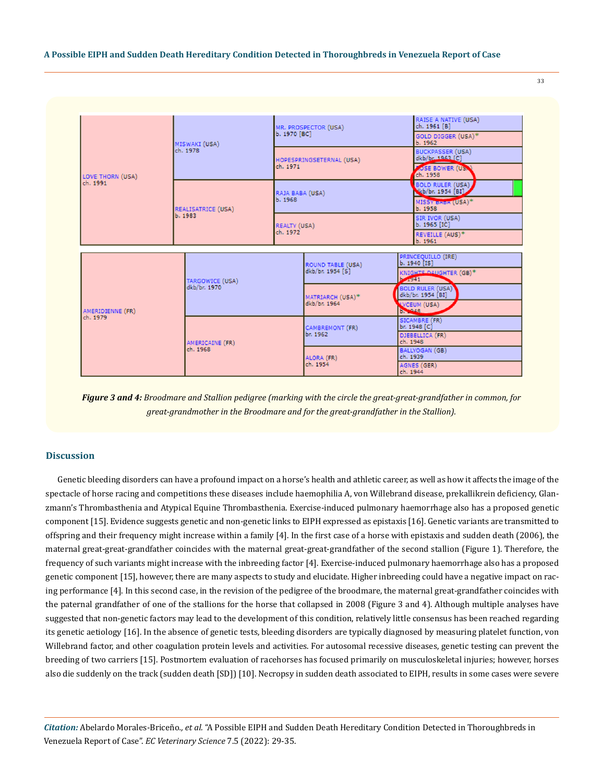

*Figure 3 and 4: Broodmare and Stallion pedigree (marking with the circle the great-great-grandfather in common, for great-grandmother in the Broodmare and for the great-grandfather in the Stallion).*

#### **Discussion**

Genetic bleeding disorders can have a profound impact on a horse's health and athletic career, as well as how it affects the image of the spectacle of horse racing and competitions these diseases include haemophilia A, von Willebrand disease, prekallikrein deficiency, Glanzmann's Thrombasthenia and Atypical Equine Thrombasthenia. Exercise-induced pulmonary haemorrhage also has a proposed genetic component [15]. Evidence suggests genetic and non-genetic links to EIPH expressed as epistaxis [16]. Genetic variants are transmitted to offspring and their frequency might increase within a family [4]. In the first case of a horse with epistaxis and sudden death (2006), the maternal great-great-grandfather coincides with the maternal great-great-grandfather of the second stallion (Figure 1). Therefore, the frequency of such variants might increase with the inbreeding factor [4]. Exercise-induced pulmonary haemorrhage also has a proposed genetic component [15], however, there are many aspects to study and elucidate. Higher inbreeding could have a negative impact on racing performance [4]. In this second case, in the revision of the pedigree of the broodmare, the maternal great-grandfather coincides with the paternal grandfather of one of the stallions for the horse that collapsed in 2008 (Figure 3 and 4). Although multiple analyses have suggested that non-genetic factors may lead to the development of this condition, relatively little consensus has been reached regarding its genetic aetiology [16]. In the absence of genetic tests, bleeding disorders are typically diagnosed by measuring platelet function, von Willebrand factor, and other coagulation protein levels and activities. For autosomal recessive diseases, genetic testing can prevent the breeding of two carriers [15]. Postmortem evaluation of racehorses has focused primarily on musculoskeletal injuries; however, horses also die suddenly on the track (sudden death [SD]) [10]. Necropsy in sudden death associated to EIPH, results in some cases were severe

*Citation:* Abelardo Morales-Briceño*., et al.* "A Possible EIPH and Sudden Death Hereditary Condition Detected in Thoroughbreds in Venezuela Report of Case". *EC Veterinary Science* 7.5 (2022): 29-35.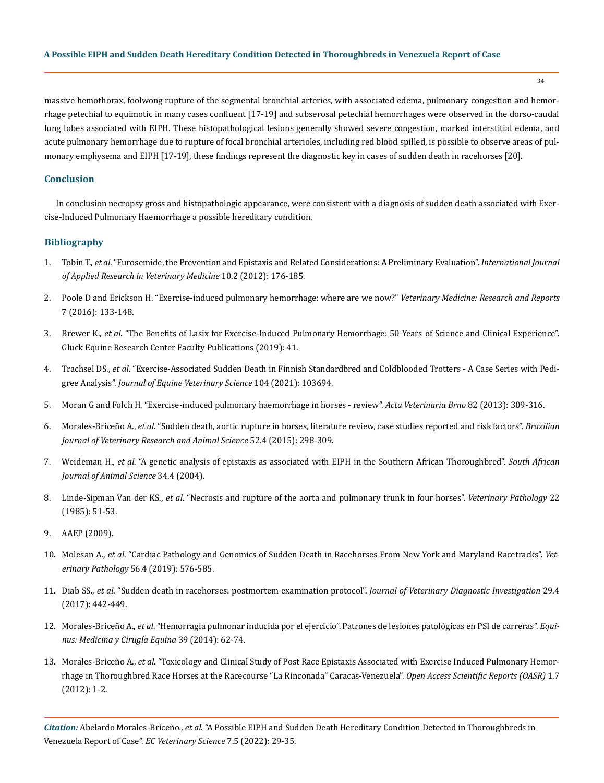massive hemothorax, foolwong rupture of the segmental bronchial arteries, with associated edema, pulmonary congestion and hemorrhage petechial to equimotic in many cases confluent [17-19] and subserosal petechial hemorrhages were observed in the dorso-caudal lung lobes associated with EIPH. These histopathological lesions generally showed severe congestion, marked interstitial edema, and acute pulmonary hemorrhage due to rupture of focal bronchial arterioles, including red blood spilled, is possible to observe areas of pulmonary emphysema and EIPH [17-19], these findings represent the diagnostic key in cases of sudden death in racehorses [20].

## **Conclusion**

In conclusion necropsy gross and histopathologic appearance, were consistent with a diagnosis of sudden death associated with Exercise-Induced Pulmonary Haemorrhage a possible hereditary condition.

#### **Bibliography**

- 1. Tobin T., *et al*[. "Furosemide, the Prevention and Epistaxis and Related Considerations: A Preliminary Evaluation".](http://www.jarvm.com/articles/Vol10Iss2/Vol10%20Iss2Tobin.pdf) *International Journal [of Applied Research in Veterinary Medicine](http://www.jarvm.com/articles/Vol10Iss2/Vol10%20Iss2Tobin.pdf)* 10.2 (2012): 176-185.
- 2. [Poole D and Erickson H. "Exercise-induced pulmonary hemorrhage: where are we now?"](https://pubmed.ncbi.nlm.nih.gov/30050846/) *Veterinary Medicine: Research and Reports* [7 \(2016\): 133-148.](https://pubmed.ncbi.nlm.nih.gov/30050846/)
- 3. Brewer K., *et al*[. "The Benefits of Lasix for Exercise-Induced Pulmonary Hemorrhage: 50 Years of Science and Clinical Experience".](https://uknowledge.uky.edu/gerc_facpub/41)  [Gluck Equine Research Center Faculty Publications \(2019\): 41.](https://uknowledge.uky.edu/gerc_facpub/41)
- 4. Trachsel DS., *et al*[. "Exercise-Associated Sudden Death in Finnish Standardbred and Coldblooded Trotters A Case Series with Pedi](https://pubmed.ncbi.nlm.nih.gov/34416991/)gree Analysis". *[Journal of Equine Veterinary Science](https://pubmed.ncbi.nlm.nih.gov/34416991/)* 104 (2021): 103694.
- 5. [Moran G and Folch H. "Exercise-induced pulmonary haemorrhage in horses review".](https://actavet.vfu.cz/media/pdf/avb_2013082030309.pdf) *Acta Veterinaria Brno* 82 (2013): 309-316.
- 6. Morales-Briceño A., *et al*[. "Sudden death, aortic rupture in horses, literature review, case studies reported and risk factors".](https://www.revistas.usp.br/bjvras/article/view/98298) *Brazilian [Journal of Veterinary Research and Animal Science](https://www.revistas.usp.br/bjvras/article/view/98298)* 52.4 (2015): 298-309.
- 7. Weideman H., *et al*[. "A genetic analysis of epistaxis as associated with EIPH in the Southern African Thoroughbred".](https://www.ajol.info/index.php/sajas/article/view/3961) *South African [Journal of Animal Science](https://www.ajol.info/index.php/sajas/article/view/3961)* 34.4 (2004).
- 8. Linde-Sipman Van der KS., *et al*[. "Necrosis and rupture of the aorta and pulmonary trunk in four horses".](https://journals.sagepub.com/doi/10.1177/030098588502200108) *Veterinary Pathology* 22 [\(1985\): 51-53.](https://journals.sagepub.com/doi/10.1177/030098588502200108)
- 9. [AAEP \(2009\).](https://aaep.org/guidelines/aaep-ethical-and-professional-guidelines/aaep-position-statements/aaep-statement-genetic-defects-2009)
- 10. Molesan A., *et al*[. "Cardiac Pathology and Genomics of Sudden Death in Racehorses From New York and Maryland Racetracks".](https://pubmed.ncbi.nlm.nih.gov/30917748/) *Veterinary Pathology* [56.4 \(2019\): 576-585.](https://pubmed.ncbi.nlm.nih.gov/30917748/)
- 11. Diab SS., *et al*[. "Sudden death in racehorses: postmortem examination protocol".](https://pubmed.ncbi.nlm.nih.gov/28114865/) *Journal of Veterinary Diagnostic Investigation* 29.4 [\(2017\): 442-449.](https://pubmed.ncbi.nlm.nih.gov/28114865/)
- 12. Morales-Briceño A., *et al*[. "Hemorragia pulmonar inducida por el ejercicio". Patrones de lesiones patológicas en PSI de carreras".](https://www.researchgate.net/publication/262561780_Hemorragia_Pulmonar_Inducida_por_el_Ejercicio_Patrones_de_lesiones_patologicas_en_Pura_Sangre_Ingles_de_Carreras) *Equi[nus: Medicina y Cirugía Equina](https://www.researchgate.net/publication/262561780_Hemorragia_Pulmonar_Inducida_por_el_Ejercicio_Patrones_de_lesiones_patologicas_en_Pura_Sangre_Ingles_de_Carreras)* 39 (2014): 62-74.
- 13. Morales-Briceño A., *et al*[. "Toxicology and Clinical Study of Post Race Epistaxis Associated with Exercise Induced Pulmonary Hemor](https://www.researchgate.net/publication/258100299_Toxicology_and_Clinical_Study_of_Post_Race_Epistaxis_Associated_with_Exercise_Induced_Pulmonary_Hemorrhage_in_Thoroughbred_Race_Horses_at_the_Racecourse_Rinconada_Caracas_Venezuela)[rhage in Thoroughbred Race Horses at the Racecourse "La Rinconada" Caracas-Venezuela".](https://www.researchgate.net/publication/258100299_Toxicology_and_Clinical_Study_of_Post_Race_Epistaxis_Associated_with_Exercise_Induced_Pulmonary_Hemorrhage_in_Thoroughbred_Race_Horses_at_the_Racecourse_Rinconada_Caracas_Venezuela) *Open Access Scientific Reports (OASR)* 1.7 [\(2012\): 1-2.](https://www.researchgate.net/publication/258100299_Toxicology_and_Clinical_Study_of_Post_Race_Epistaxis_Associated_with_Exercise_Induced_Pulmonary_Hemorrhage_in_Thoroughbred_Race_Horses_at_the_Racecourse_Rinconada_Caracas_Venezuela)

*Citation:* Abelardo Morales-Briceño*., et al.* "A Possible EIPH and Sudden Death Hereditary Condition Detected in Thoroughbreds in Venezuela Report of Case". *EC Veterinary Science* 7.5 (2022): 29-35.